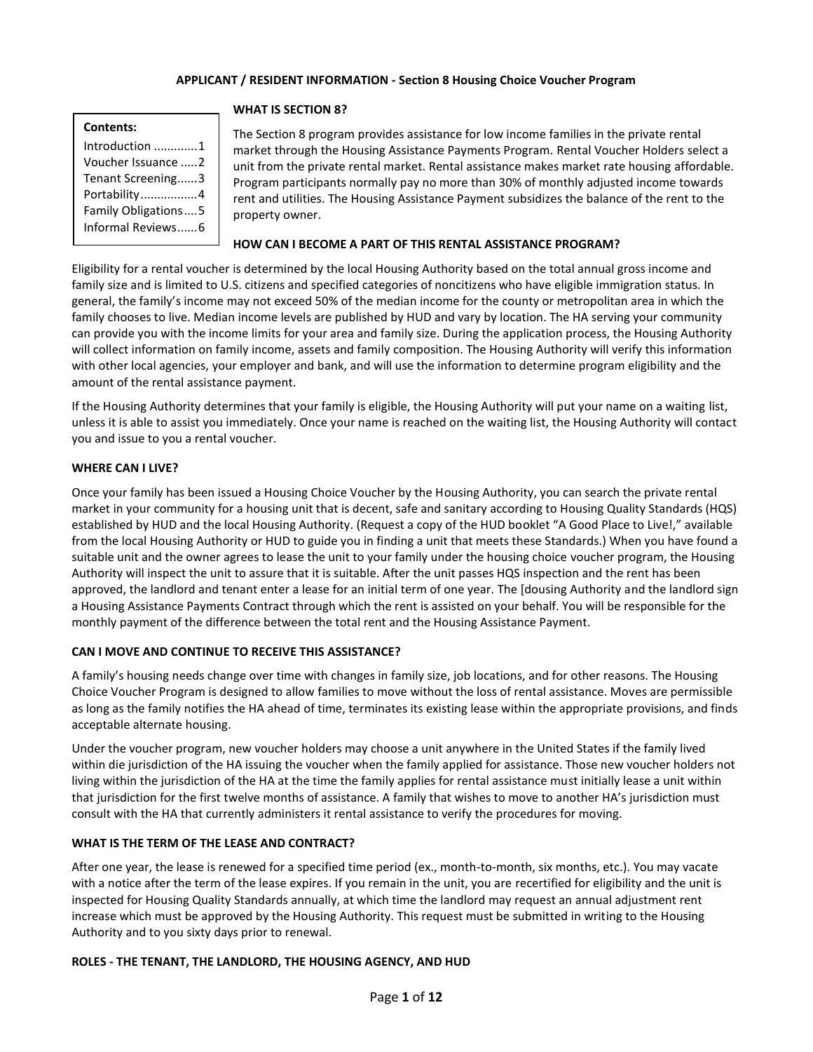## **APPLICANT / RESIDENT INFORMATION - Section 8 Housing Choice Voucher Program**

## **Contents:**

| Introduction 1             |
|----------------------------|
| Voucher Issuance 2         |
| Tenant Screening3          |
| Portability4               |
| <b>Family Obligations5</b> |
| Informal Reviews6          |
|                            |

#### **WHAT IS SECTION 8?**

The Section 8 program provides assistance for low income families in the private rental market through the Housing Assistance Payments Program. Rental Voucher Holders select a unit from the private rental market. Rental assistance makes market rate housing affordable. Program participants normally pay no more than 30% of monthly adjusted income towards rent and utilities. The Housing Assistance Payment subsidizes the balance of the rent to the property owner.

## **HOW CAN I BECOME A PART OF THIS RENTAL ASSISTANCE PROGRAM?**

Eligibility for a rental voucher is determined by the local Housing Authority based on the total annual gross income and family size and is limited to U.S. citizens and specified categories of noncitizens who have eligible immigration status. In general, the family's income may not exceed 50% of the median income for the county or metropolitan area in which the family chooses to live. Median income levels are published by HUD and vary by location. The HA serving your community can provide you with the income limits for your area and family size. During the application process, the Housing Authority will collect information on family income, assets and family composition. The Housing Authority will verify this information with other local agencies, your employer and bank, and will use the information to determine program eligibility and the amount of the rental assistance payment.

If the Housing Authority determines that your family is eligible, the Housing Authority will put your name on a waiting list, unless it is able to assist you immediately. Once your name is reached on the waiting list, the Housing Authority will contact you and issue to you a rental voucher.

## **WHERE CAN I LIVE?**

Once your family has been issued a Housing Choice Voucher by the Housing Authority, you can search the private rental market in your community for a housing unit that is decent, safe and sanitary according to Housing Quality Standards (HQS) established by HUD and the local Housing Authority. (Request a copy of the HUD booklet "A Good Place to Live!," available from the local Housing Authority or HUD to guide you in finding a unit that meets these Standards.) When you have found a suitable unit and the owner agrees to lease the unit to your family under the housing choice voucher program, the Housing Authority will inspect the unit to assure that it is suitable. After the unit passes HQS inspection and the rent has been approved, the landlord and tenant enter a lease for an initial term of one year. The [dousing Authority and the landlord sign a Housing Assistance Payments Contract through which the rent is assisted on your behalf. You will be responsible for the monthly payment of the difference between the total rent and the Housing Assistance Payment.

## **CAN I MOVE AND CONTINUE TO RECEIVE THIS ASSISTANCE?**

A family's housing needs change over time with changes in family size, job locations, and for other reasons. The Housing Choice Voucher Program is designed to allow families to move without the loss of rental assistance. Moves are permissible as long as the family notifies the HA ahead of time, terminates its existing lease within the appropriate provisions, and finds acceptable alternate housing.

Under the voucher program, new voucher holders may choose a unit anywhere in the United States if the family lived within die jurisdiction of the HA issuing the voucher when the family applied for assistance. Those new voucher holders not living within the jurisdiction of the HA at the time the family applies for rental assistance must initially lease a unit within that jurisdiction for the first twelve months of assistance. A family that wishes to move to another HA's jurisdiction must consult with the HA that currently administers it rental assistance to verify the procedures for moving.

## **WHAT IS THE TERM OF THE LEASE AND CONTRACT?**

After one year, the lease is renewed for a specified time period (ex., month-to-month, six months, etc.). You may vacate with a notice after the term of the lease expires. If you remain in the unit, you are recertified for eligibility and the unit is inspected for Housing Quality Standards annually, at which time the landlord may request an annual adjustment rent increase which must be approved by the Housing Authority. This request must be submitted in writing to the Housing Authority and to you sixty days prior to renewal.

## **ROLES - THE TENANT, THE LANDLORD, THE HOUSING AGENCY, AND HUD**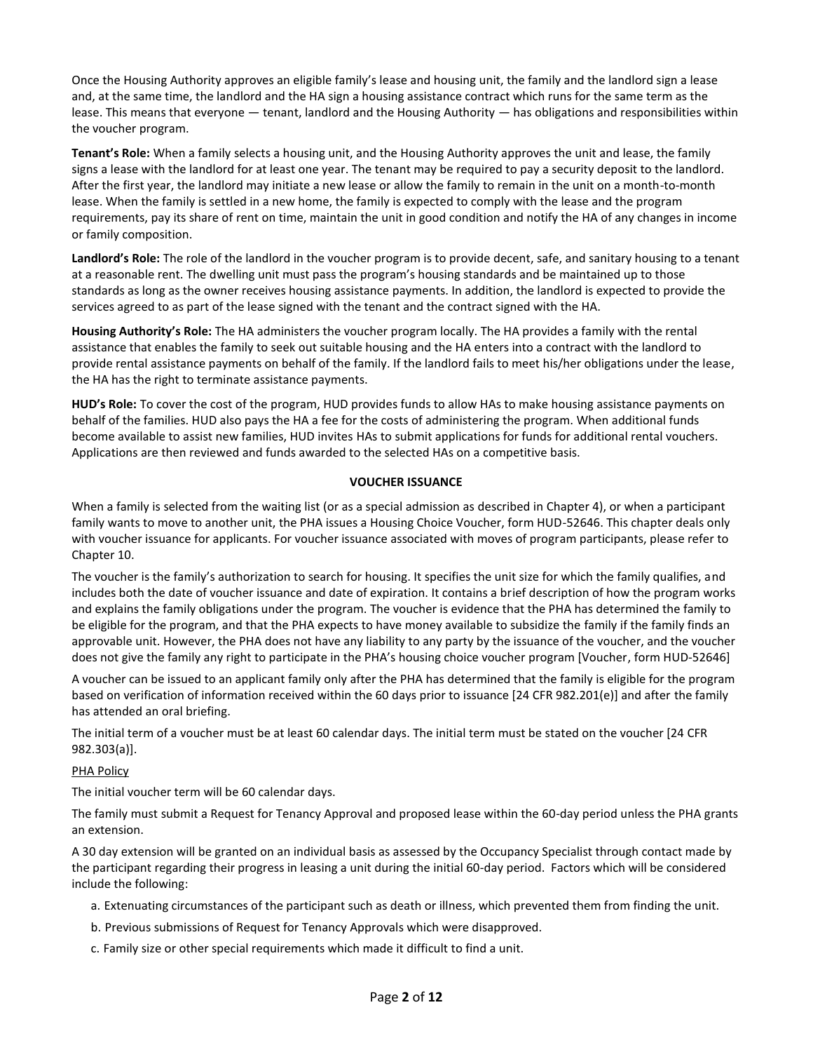Once the Housing Authority approves an eligible family's lease and housing unit, the family and the landlord sign a lease and, at the same time, the landlord and the HA sign a housing assistance contract which runs for the same term as the lease. This means that everyone — tenant, landlord and the Housing Authority — has obligations and responsibilities within the voucher program.

**Tenant's Role:** When a family selects a housing unit, and the Housing Authority approves the unit and lease, the family signs a lease with the landlord for at least one year. The tenant may be required to pay a security deposit to the landlord. After the first year, the landlord may initiate a new lease or allow the family to remain in the unit on a month-to-month lease. When the family is settled in a new home, the family is expected to comply with the lease and the program requirements, pay its share of rent on time, maintain the unit in good condition and notify the HA of any changes in income or family composition.

**Landlord's Role:** The role of the landlord in the voucher program is to provide decent, safe, and sanitary housing to a tenant at a reasonable rent. The dwelling unit must pass the program's housing standards and be maintained up to those standards as long as the owner receives housing assistance payments. In addition, the landlord is expected to provide the services agreed to as part of the lease signed with the tenant and the contract signed with the HA.

**Housing Authority's Role:** The HA administers the voucher program locally. The HA provides a family with the rental assistance that enables the family to seek out suitable housing and the HA enters into a contract with the landlord to provide rental assistance payments on behalf of the family. If the landlord fails to meet his/her obligations under the lease, the HA has the right to terminate assistance payments.

**HUD's Role:** To cover the cost of the program, HUD provides funds to allow HAs to make housing assistance payments on behalf of the families. HUD also pays the HA a fee for the costs of administering the program. When additional funds become available to assist new families, HUD invites HAs to submit applications for funds for additional rental vouchers. Applications are then reviewed and funds awarded to the selected HAs on a competitive basis.

## **VOUCHER ISSUANCE**

When a family is selected from the waiting list (or as a special admission as described in Chapter 4), or when a participant family wants to move to another unit, the PHA issues a Housing Choice Voucher, form HUD-52646. This chapter deals only with voucher issuance for applicants. For voucher issuance associated with moves of program participants, please refer to Chapter 10.

The voucher is the family's authorization to search for housing. It specifies the unit size for which the family qualifies, and includes both the date of voucher issuance and date of expiration. It contains a brief description of how the program works and explains the family obligations under the program. The voucher is evidence that the PHA has determined the family to be eligible for the program, and that the PHA expects to have money available to subsidize the family if the family finds an approvable unit. However, the PHA does not have any liability to any party by the issuance of the voucher, and the voucher does not give the family any right to participate in the PHA's housing choice voucher program [Voucher, form HUD-52646]

A voucher can be issued to an applicant family only after the PHA has determined that the family is eligible for the program based on verification of information received within the 60 days prior to issuance [24 CFR 982.201(e)] and after the family has attended an oral briefing.

The initial term of a voucher must be at least 60 calendar days. The initial term must be stated on the voucher [24 CFR 982.303(a)].

## PHA Policy

The initial voucher term will be 60 calendar days.

The family must submit a Request for Tenancy Approval and proposed lease within the 60-day period unless the PHA grants an extension.

A 30 day extension will be granted on an individual basis as assessed by the Occupancy Specialist through contact made by the participant regarding their progress in leasing a unit during the initial 60-day period. Factors which will be considered include the following:

- a. Extenuating circumstances of the participant such as death or illness, which prevented them from finding the unit.
- b. Previous submissions of Request for Tenancy Approvals which were disapproved.
- c. Family size or other special requirements which made it difficult to find a unit.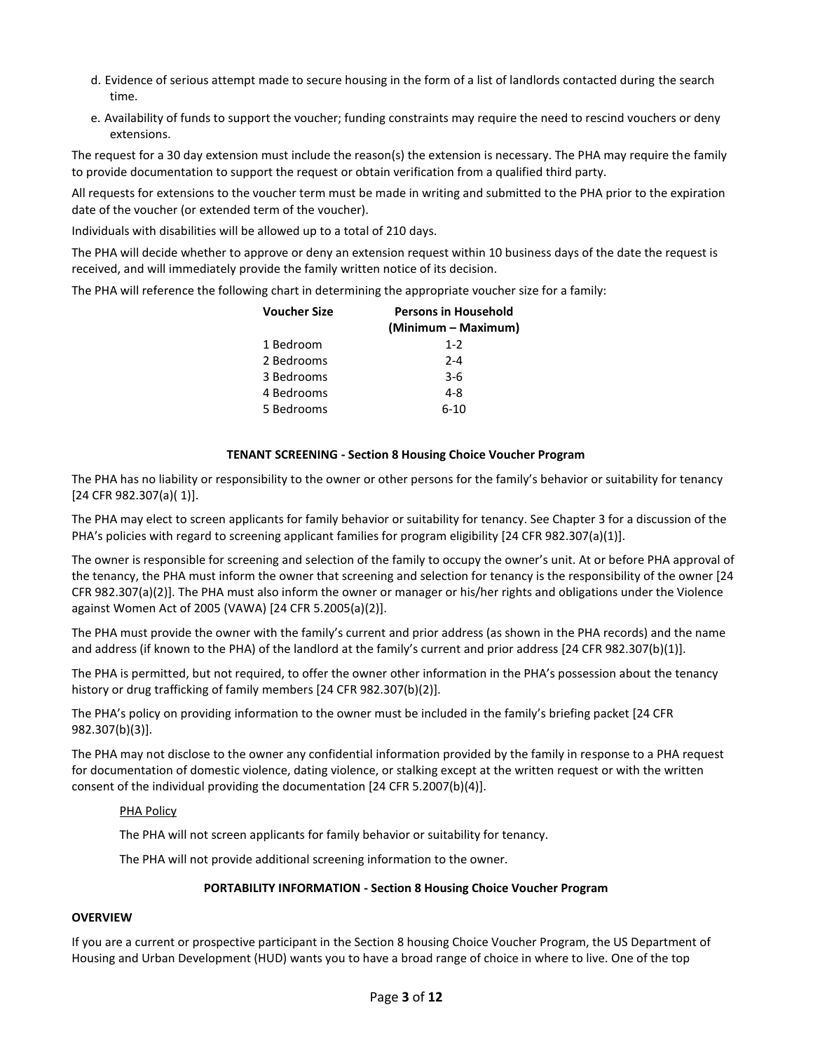- d. Evidence of serious attempt made to secure housing in the form of a list of landlords contacted during the search time.
- e. Availability of funds to support the voucher; funding constraints may require the need to rescind vouchers or deny extensions.

The request for a 30 day extension must include the reason(s) the extension is necessary. The PHA may require the family to provide documentation to support the request or obtain verification from a qualified third party.

All requests for extensions to the voucher term must be made in writing and submitted to the PHA prior to the expiration date of the voucher (or extended term of the voucher).

Individuals with disabilities will be allowed up to a total of 210 days.

The PHA will decide whether to approve or deny an extension request within 10 business days of the date the request is received, and will immediately provide the family written notice of its decision.

The PHA will reference the following chart in determining the appropriate voucher size for a family:

| <b>Persons in Household</b> |
|-----------------------------|
| (Minimum – Maximum)         |
| $1 - 2$                     |
| $2 - 4$                     |
| $3-6$                       |
| $4 - 8$                     |
| $6 - 10$                    |
|                             |

#### **TENANT SCREENING - Section 8 Housing Choice Voucher Program**

The PHA has no liability or responsibility to the owner or other persons for the family's behavior or suitability for tenancy [24 CFR 982.307(a)( 1)].

The PHA may elect to screen applicants for family behavior or suitability for tenancy. See Chapter 3 for a discussion of the PHA's policies with regard to screening applicant families for program eligibility [24 CFR 982.307(a)(1)].

The owner is responsible for screening and selection of the family to occupy the owner's unit. At or before PHA approval of the tenancy, the PHA must inform the owner that screening and selection for tenancy is the responsibility of the owner [24 CFR 982.307(a)(2)]. The PHA must also inform the owner or manager or his/her rights and obligations under the Violence against Women Act of 2005 (VAWA) [24 CFR 5.2005(a)(2)].

The PHA must provide the owner with the family's current and prior address (as shown in the PHA records) and the name and address (if known to the PHA) of the landlord at the family's current and prior address [24 CFR 982.307(b)(1)].

The PHA is permitted, but not required, to offer the owner other information in the PHA's possession about the tenancy history or drug trafficking of family members [24 CFR 982.307(b)(2)].

The PHA's policy on providing information to the owner must be included in the family's briefing packet [24 CFR 982.307(b)(3)].

The PHA may not disclose to the owner any confidential information provided by the family in response to a PHA request for documentation of domestic violence, dating violence, or stalking except at the written request or with the written consent of the individual providing the documentation [24 CFR 5.2007(b)(4)].

#### PHA Policy

The PHA will not screen applicants for family behavior or suitability for tenancy.

The PHA will not provide additional screening information to the owner.

## **PORTABILITY INFORMATION - Section 8 Housing Choice Voucher Program**

## **OVERVIEW**

If you are a current or prospective participant in the Section 8 housing Choice Voucher Program, the US Department of Housing and Urban Development (HUD) wants you to have a broad range of choice in where to live. One of the top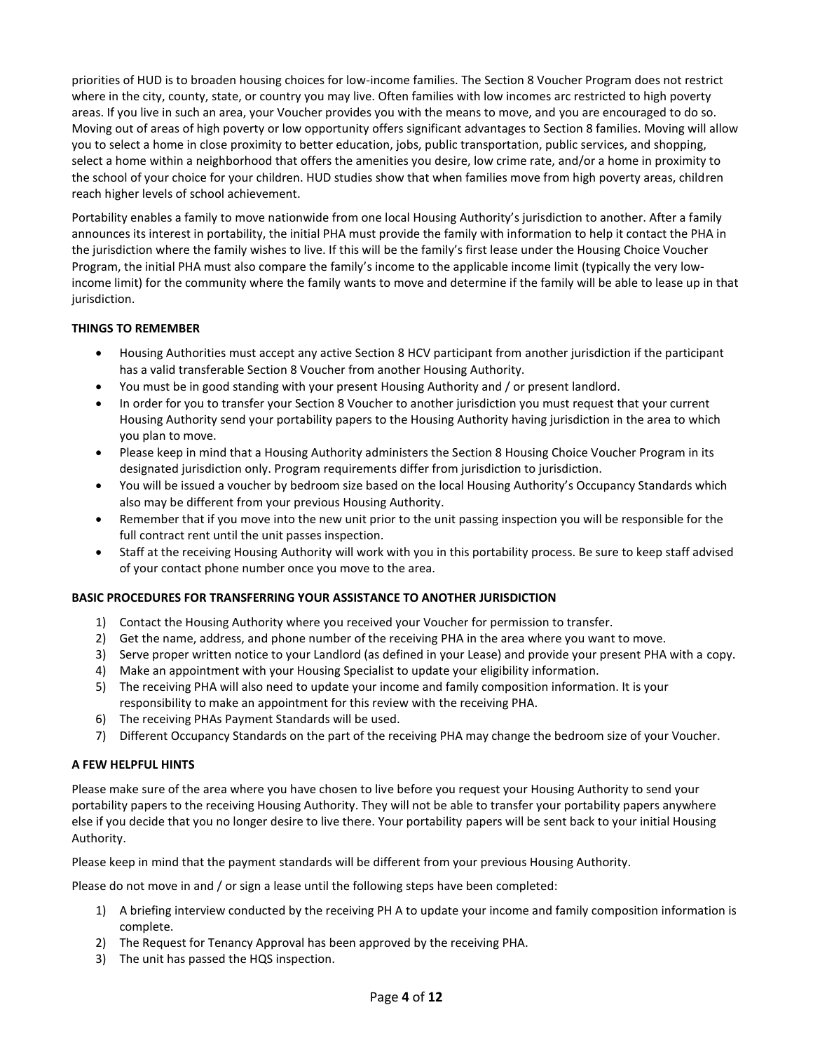priorities of HUD is to broaden housing choices for low-income families. The Section 8 Voucher Program does not restrict where in the city, county, state, or country you may live. Often families with low incomes arc restricted to high poverty areas. If you live in such an area, your Voucher provides you with the means to move, and you are encouraged to do so. Moving out of areas of high poverty or low opportunity offers significant advantages to Section 8 families. Moving will allow you to select a home in close proximity to better education, jobs, public transportation, public services, and shopping, select a home within a neighborhood that offers the amenities you desire, low crime rate, and/or a home in proximity to the school of your choice for your children. HUD studies show that when families move from high poverty areas, children reach higher levels of school achievement.

Portability enables a family to move nationwide from one local Housing Authority's jurisdiction to another. After a family announces its interest in portability, the initial PHA must provide the family with information to help it contact the PHA in the jurisdiction where the family wishes to live. If this will be the family's first lease under the Housing Choice Voucher Program, the initial PHA must also compare the family's income to the applicable income limit (typically the very lowincome limit) for the community where the family wants to move and determine if the family will be able to lease up in that jurisdiction.

# **THINGS TO REMEMBER**

- Housing Authorities must accept any active Section 8 HCV participant from another jurisdiction if the participant has a valid transferable Section 8 Voucher from another Housing Authority.
- You must be in good standing with your present Housing Authority and / or present landlord.
- In order for you to transfer your Section 8 Voucher to another jurisdiction you must request that your current Housing Authority send your portability papers to the Housing Authority having jurisdiction in the area to which you plan to move.
- Please keep in mind that a Housing Authority administers the Section 8 Housing Choice Voucher Program in its designated jurisdiction only. Program requirements differ from jurisdiction to jurisdiction.
- You will be issued a voucher by bedroom size based on the local Housing Authority's Occupancy Standards which also may be different from your previous Housing Authority.
- Remember that if you move into the new unit prior to the unit passing inspection you will be responsible for the full contract rent until the unit passes inspection.
- Staff at the receiving Housing Authority will work with you in this portability process. Be sure to keep staff advised of your contact phone number once you move to the area.

## **BASIC PROCEDURES FOR TRANSFERRING YOUR ASSISTANCE TO ANOTHER JURISDICTION**

- 1) Contact the Housing Authority where you received your Voucher for permission to transfer.
- 2) Get the name, address, and phone number of the receiving PHA in the area where you want to move.
- 3) Serve proper written notice to your Landlord (as defined in your Lease) and provide your present PHA with a copy.
- 4) Make an appointment with your Housing Specialist to update your eligibility information.
- 5) The receiving PHA will also need to update your income and family composition information. It is your responsibility to make an appointment for this review with the receiving PHA.
- 6) The receiving PHAs Payment Standards will be used.
- 7) Different Occupancy Standards on the part of the receiving PHA may change the bedroom size of your Voucher.

## **A FEW HELPFUL HINTS**

Please make sure of the area where you have chosen to live before you request your Housing Authority to send your portability papers to the receiving Housing Authority. They will not be able to transfer your portability papers anywhere else if you decide that you no longer desire to live there. Your portability papers will be sent back to your initial Housing Authority.

Please keep in mind that the payment standards will be different from your previous Housing Authority.

Please do not move in and / or sign a lease until the following steps have been completed:

- 1) A briefing interview conducted by the receiving PH A to update your income and family composition information is complete.
- 2) The Request for Tenancy Approval has been approved by the receiving PHA.
- 3) The unit has passed the HQS inspection.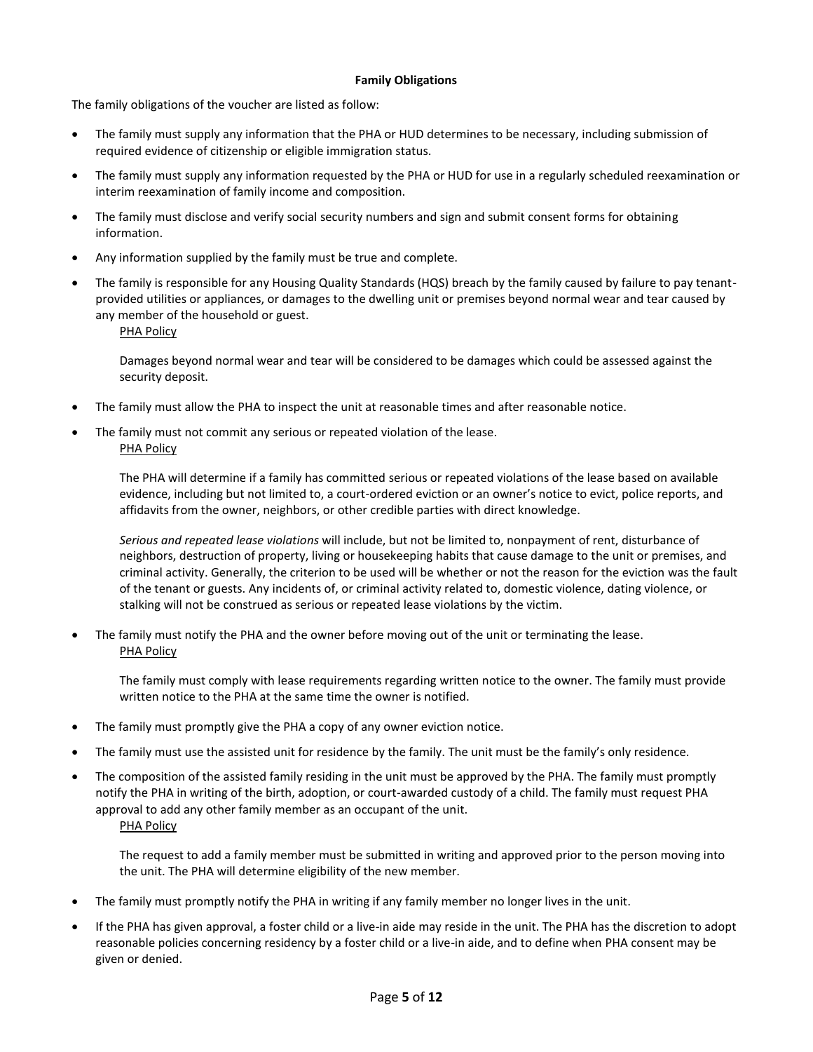#### **Family Obligations**

The family obligations of the voucher are listed as follow:

- The family must supply any information that the PHA or HUD determines to be necessary, including submission of required evidence of citizenship or eligible immigration status.
- The family must supply any information requested by the PHA or HUD for use in a regularly scheduled reexamination or interim reexamination of family income and composition.
- The family must disclose and verify social security numbers and sign and submit consent forms for obtaining information.
- Any information supplied by the family must be true and complete.
- The family is responsible for any Housing Quality Standards (HQS) breach by the family caused by failure to pay tenantprovided utilities or appliances, or damages to the dwelling unit or premises beyond normal wear and tear caused by any member of the household or guest.
	- PHA Policy

Damages beyond normal wear and tear will be considered to be damages which could be assessed against the security deposit.

- The family must allow the PHA to inspect the unit at reasonable times and after reasonable notice.
- The family must not commit any serious or repeated violation of the lease. PHA Policy

The PHA will determine if a family has committed serious or repeated violations of the lease based on available evidence, including but not limited to, a court-ordered eviction or an owner's notice to evict, police reports, and affidavits from the owner, neighbors, or other credible parties with direct knowledge.

*Serious and repeated lease violations* will include, but not be limited to, nonpayment of rent, disturbance of neighbors, destruction of property, living or housekeeping habits that cause damage to the unit or premises, and criminal activity. Generally, the criterion to be used will be whether or not the reason for the eviction was the fault of the tenant or guests. Any incidents of, or criminal activity related to, domestic violence, dating violence, or stalking will not be construed as serious or repeated lease violations by the victim.

 The family must notify the PHA and the owner before moving out of the unit or terminating the lease. PHA Policy

The family must comply with lease requirements regarding written notice to the owner. The family must provide written notice to the PHA at the same time the owner is notified.

- The family must promptly give the PHA a copy of any owner eviction notice.
- The family must use the assisted unit for residence by the family. The unit must be the family's only residence.
- The composition of the assisted family residing in the unit must be approved by the PHA. The family must promptly notify the PHA in writing of the birth, adoption, or court-awarded custody of a child. The family must request PHA approval to add any other family member as an occupant of the unit. PHA Policy

The request to add a family member must be submitted in writing and approved prior to the person moving into the unit. The PHA will determine eligibility of the new member.

- The family must promptly notify the PHA in writing if any family member no longer lives in the unit.
- If the PHA has given approval, a foster child or a live-in aide may reside in the unit. The PHA has the discretion to adopt reasonable policies concerning residency by a foster child or a live-in aide, and to define when PHA consent may be given or denied.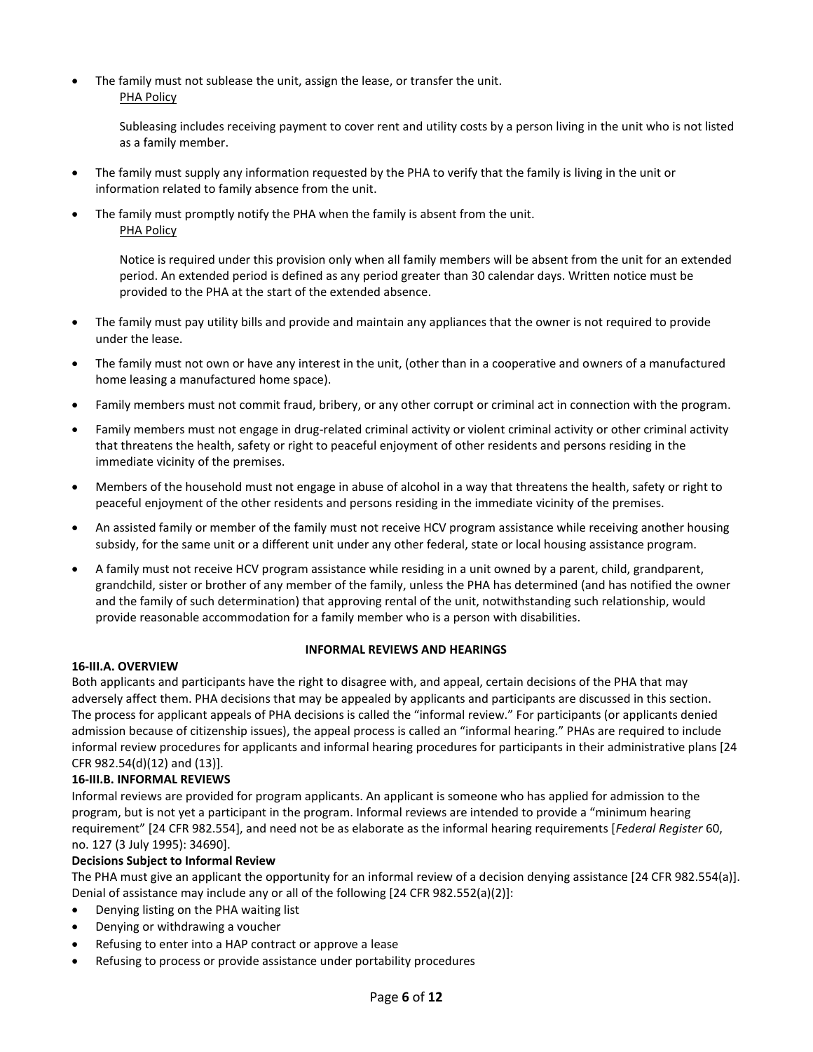The family must not sublease the unit, assign the lease, or transfer the unit. PHA Policy

> Subleasing includes receiving payment to cover rent and utility costs by a person living in the unit who is not listed as a family member.

- The family must supply any information requested by the PHA to verify that the family is living in the unit or information related to family absence from the unit.
- The family must promptly notify the PHA when the family is absent from the unit. PHA Policy

Notice is required under this provision only when all family members will be absent from the unit for an extended period. An extended period is defined as any period greater than 30 calendar days. Written notice must be provided to the PHA at the start of the extended absence.

- The family must pay utility bills and provide and maintain any appliances that the owner is not required to provide under the lease.
- The family must not own or have any interest in the unit, (other than in a cooperative and owners of a manufactured home leasing a manufactured home space).
- Family members must not commit fraud, bribery, or any other corrupt or criminal act in connection with the program.
- Family members must not engage in drug-related criminal activity or violent criminal activity or other criminal activity that threatens the health, safety or right to peaceful enjoyment of other residents and persons residing in the immediate vicinity of the premises.
- Members of the household must not engage in abuse of alcohol in a way that threatens the health, safety or right to peaceful enjoyment of the other residents and persons residing in the immediate vicinity of the premises.
- An assisted family or member of the family must not receive HCV program assistance while receiving another housing subsidy, for the same unit or a different unit under any other federal, state or local housing assistance program.
- A family must not receive HCV program assistance while residing in a unit owned by a parent, child, grandparent, grandchild, sister or brother of any member of the family, unless the PHA has determined (and has notified the owner and the family of such determination) that approving rental of the unit, notwithstanding such relationship, would provide reasonable accommodation for a family member who is a person with disabilities.

## **16-III.A. OVERVIEW**

## **INFORMAL REVIEWS AND HEARINGS**

Both applicants and participants have the right to disagree with, and appeal, certain decisions of the PHA that may adversely affect them. PHA decisions that may be appealed by applicants and participants are discussed in this section. The process for applicant appeals of PHA decisions is called the "informal review." For participants (or applicants denied admission because of citizenship issues), the appeal process is called an "informal hearing." PHAs are required to include informal review procedures for applicants and informal hearing procedures for participants in their administrative plans [24 CFR 982.54(d)(12) and (13)].

# **16-III.B. INFORMAL REVIEWS**

Informal reviews are provided for program applicants. An applicant is someone who has applied for admission to the program, but is not yet a participant in the program. Informal reviews are intended to provide a "minimum hearing requirement" [24 CFR 982.554], and need not be as elaborate as the informal hearing requirements [*Federal Register* 60, no. 127 (3 July 1995): 34690].

# **Decisions Subject to Informal Review**

The PHA must give an applicant the opportunity for an informal review of a decision denying assistance [24 CFR 982.554(a)]. Denial of assistance may include any or all of the following  $[24$  CFR 982.552(a)(2)]:

- Denying listing on the PHA waiting list
- Denying or withdrawing a voucher
- Refusing to enter into a HAP contract or approve a lease
- Refusing to process or provide assistance under portability procedures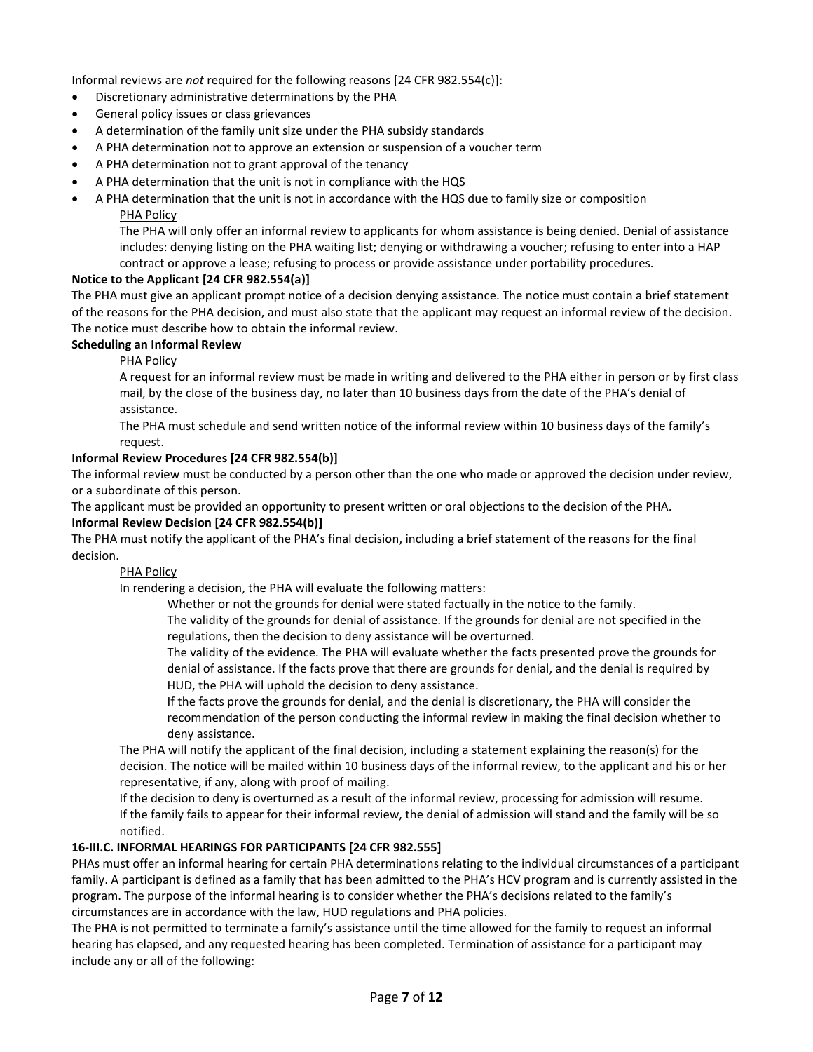Informal reviews are *not* required for the following reasons [24 CFR 982.554(c)]:

- Discretionary administrative determinations by the PHA
- General policy issues or class grievances
- A determination of the family unit size under the PHA subsidy standards
- A PHA determination not to approve an extension or suspension of a voucher term
- A PHA determination not to grant approval of the tenancy
- A PHA determination that the unit is not in compliance with the HQS
- A PHA determination that the unit is not in accordance with the HQS due to family size or composition PHA Policy

The PHA will only offer an informal review to applicants for whom assistance is being denied. Denial of assistance includes: denying listing on the PHA waiting list; denying or withdrawing a voucher; refusing to enter into a HAP

contract or approve a lease; refusing to process or provide assistance under portability procedures.

## **Notice to the Applicant [24 CFR 982.554(a)]**

The PHA must give an applicant prompt notice of a decision denying assistance. The notice must contain a brief statement of the reasons for the PHA decision, and must also state that the applicant may request an informal review of the decision. The notice must describe how to obtain the informal review.

#### **Scheduling an Informal Review**

PHA Policy

A request for an informal review must be made in writing and delivered to the PHA either in person or by first class mail, by the close of the business day, no later than 10 business days from the date of the PHA's denial of assistance.

The PHA must schedule and send written notice of the informal review within 10 business days of the family's request.

#### **Informal Review Procedures [24 CFR 982.554(b)]**

The informal review must be conducted by a person other than the one who made or approved the decision under review, or a subordinate of this person.

The applicant must be provided an opportunity to present written or oral objections to the decision of the PHA.

#### **Informal Review Decision [24 CFR 982.554(b)]**

The PHA must notify the applicant of the PHA's final decision, including a brief statement of the reasons for the final decision.

#### PHA Policy

In rendering a decision, the PHA will evaluate the following matters:

Whether or not the grounds for denial were stated factually in the notice to the family.

The validity of the grounds for denial of assistance. If the grounds for denial are not specified in the regulations, then the decision to deny assistance will be overturned.

The validity of the evidence. The PHA will evaluate whether the facts presented prove the grounds for denial of assistance. If the facts prove that there are grounds for denial, and the denial is required by HUD, the PHA will uphold the decision to deny assistance.

If the facts prove the grounds for denial, and the denial is discretionary, the PHA will consider the recommendation of the person conducting the informal review in making the final decision whether to deny assistance.

The PHA will notify the applicant of the final decision, including a statement explaining the reason(s) for the decision. The notice will be mailed within 10 business days of the informal review, to the applicant and his or her representative, if any, along with proof of mailing.

If the decision to deny is overturned as a result of the informal review, processing for admission will resume. If the family fails to appear for their informal review, the denial of admission will stand and the family will be so notified.

## **16-III.C. INFORMAL HEARINGS FOR PARTICIPANTS [24 CFR 982.555]**

PHAs must offer an informal hearing for certain PHA determinations relating to the individual circumstances of a participant family. A participant is defined as a family that has been admitted to the PHA's HCV program and is currently assisted in the program. The purpose of the informal hearing is to consider whether the PHA's decisions related to the family's circumstances are in accordance with the law, HUD regulations and PHA policies.

The PHA is not permitted to terminate a family's assistance until the time allowed for the family to request an informal hearing has elapsed, and any requested hearing has been completed. Termination of assistance for a participant may include any or all of the following: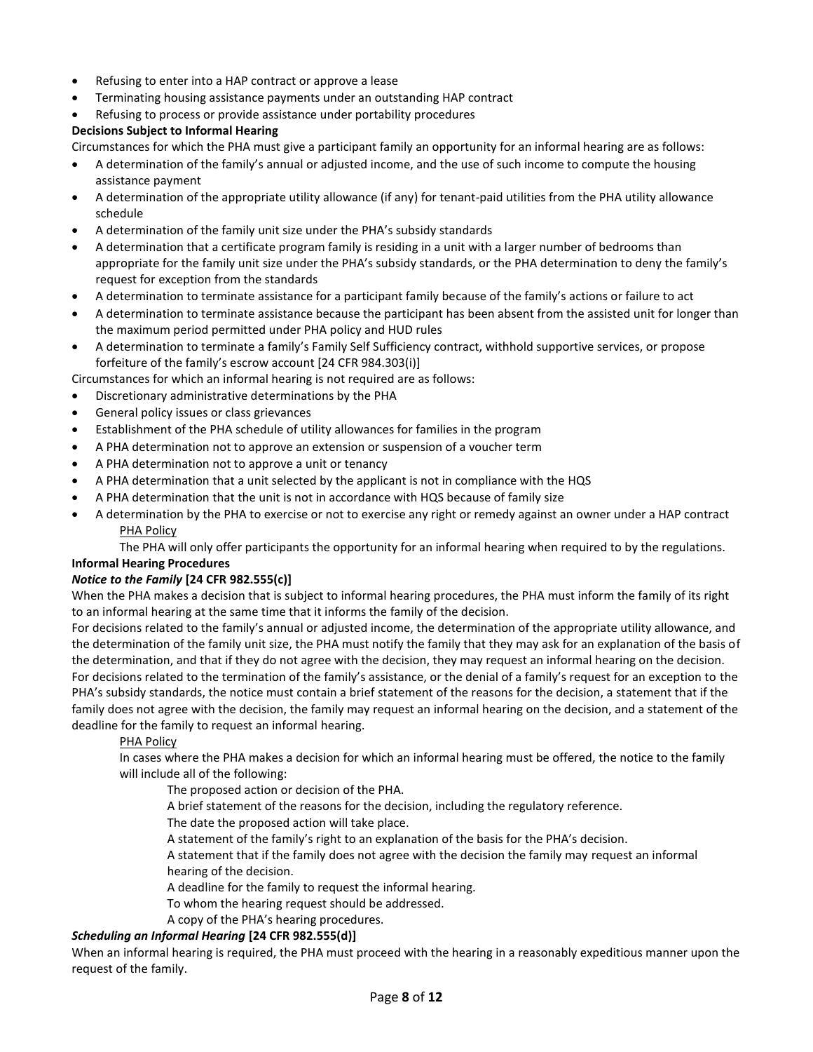- Refusing to enter into a HAP contract or approve a lease
- Terminating housing assistance payments under an outstanding HAP contract
- Refusing to process or provide assistance under portability procedures

## **Decisions Subject to Informal Hearing**

Circumstances for which the PHA must give a participant family an opportunity for an informal hearing are as follows:

- A determination of the family's annual or adjusted income, and the use of such income to compute the housing assistance payment
- A determination of the appropriate utility allowance (if any) for tenant-paid utilities from the PHA utility allowance schedule
- A determination of the family unit size under the PHA's subsidy standards
- A determination that a certificate program family is residing in a unit with a larger number of bedrooms than appropriate for the family unit size under the PHA's subsidy standards, or the PHA determination to deny the family's request for exception from the standards
- A determination to terminate assistance for a participant family because of the family's actions or failure to act
- A determination to terminate assistance because the participant has been absent from the assisted unit for longer than the maximum period permitted under PHA policy and HUD rules
- A determination to terminate a family's Family Self Sufficiency contract, withhold supportive services, or propose forfeiture of the family's escrow account [24 CFR 984.303(i)]

Circumstances for which an informal hearing is not required are as follows:

- Discretionary administrative determinations by the PHA
- General policy issues or class grievances
- Establishment of the PHA schedule of utility allowances for families in the program
- A PHA determination not to approve an extension or suspension of a voucher term
- A PHA determination not to approve a unit or tenancy
- A PHA determination that a unit selected by the applicant is not in compliance with the HQS
- A PHA determination that the unit is not in accordance with HQS because of family size
- A determination by the PHA to exercise or not to exercise any right or remedy against an owner under a HAP contract PHA Policy

The PHA will only offer participants the opportunity for an informal hearing when required to by the regulations.

## **Informal Hearing Procedures**

## *Notice to the Family* **[24 CFR 982.555(c)]**

When the PHA makes a decision that is subject to informal hearing procedures, the PHA must inform the family of its right to an informal hearing at the same time that it informs the family of the decision.

For decisions related to the family's annual or adjusted income, the determination of the appropriate utility allowance, and the determination of the family unit size, the PHA must notify the family that they may ask for an explanation of the basis of the determination, and that if they do not agree with the decision, they may request an informal hearing on the decision. For decisions related to the termination of the family's assistance, or the denial of a family's request for an exception to the PHA's subsidy standards, the notice must contain a brief statement of the reasons for the decision, a statement that if the family does not agree with the decision, the family may request an informal hearing on the decision, and a statement of the deadline for the family to request an informal hearing.

## PHA Policy

In cases where the PHA makes a decision for which an informal hearing must be offered, the notice to the family will include all of the following:

The proposed action or decision of the PHA.

A brief statement of the reasons for the decision, including the regulatory reference.

The date the proposed action will take place.

A statement of the family's right to an explanation of the basis for the PHA's decision.

A statement that if the family does not agree with the decision the family may request an informal hearing of the decision.

A deadline for the family to request the informal hearing.

To whom the hearing request should be addressed.

A copy of the PHA's hearing procedures.

## *Scheduling an Informal Hearing* **[24 CFR 982.555(d)]**

When an informal hearing is required, the PHA must proceed with the hearing in a reasonably expeditious manner upon the request of the family.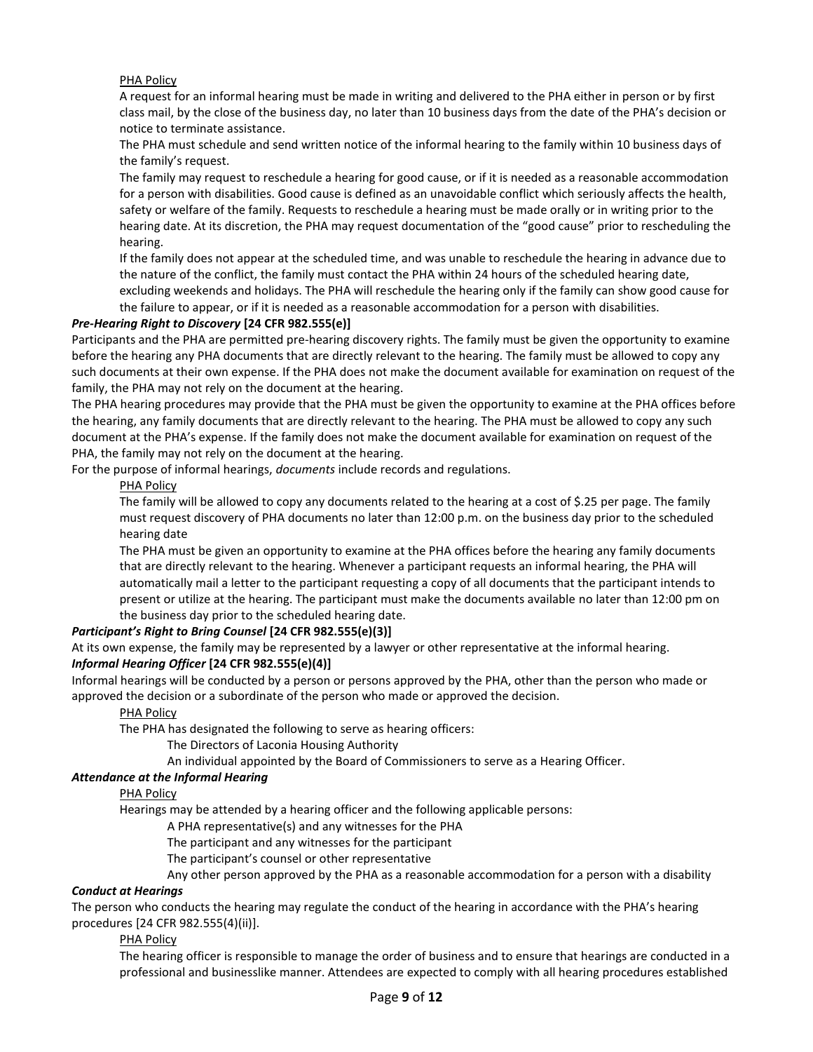#### PHA Policy

A request for an informal hearing must be made in writing and delivered to the PHA either in person or by first class mail, by the close of the business day, no later than 10 business days from the date of the PHA's decision or notice to terminate assistance.

The PHA must schedule and send written notice of the informal hearing to the family within 10 business days of the family's request.

The family may request to reschedule a hearing for good cause, or if it is needed as a reasonable accommodation for a person with disabilities. Good cause is defined as an unavoidable conflict which seriously affects the health, safety or welfare of the family. Requests to reschedule a hearing must be made orally or in writing prior to the hearing date. At its discretion, the PHA may request documentation of the "good cause" prior to rescheduling the hearing.

If the family does not appear at the scheduled time, and was unable to reschedule the hearing in advance due to the nature of the conflict, the family must contact the PHA within 24 hours of the scheduled hearing date, excluding weekends and holidays. The PHA will reschedule the hearing only if the family can show good cause for the failure to appear, or if it is needed as a reasonable accommodation for a person with disabilities.

#### *Pre-Hearing Right to Discovery* **[24 CFR 982.555(e)]**

Participants and the PHA are permitted pre-hearing discovery rights. The family must be given the opportunity to examine before the hearing any PHA documents that are directly relevant to the hearing. The family must be allowed to copy any such documents at their own expense. If the PHA does not make the document available for examination on request of the family, the PHA may not rely on the document at the hearing.

The PHA hearing procedures may provide that the PHA must be given the opportunity to examine at the PHA offices before the hearing, any family documents that are directly relevant to the hearing. The PHA must be allowed to copy any such document at the PHA's expense. If the family does not make the document available for examination on request of the PHA, the family may not rely on the document at the hearing.

For the purpose of informal hearings, *documents* include records and regulations.

#### PHA Policy

The family will be allowed to copy any documents related to the hearing at a cost of \$.25 per page. The family must request discovery of PHA documents no later than 12:00 p.m. on the business day prior to the scheduled hearing date

The PHA must be given an opportunity to examine at the PHA offices before the hearing any family documents that are directly relevant to the hearing. Whenever a participant requests an informal hearing, the PHA will automatically mail a letter to the participant requesting a copy of all documents that the participant intends to present or utilize at the hearing. The participant must make the documents available no later than 12:00 pm on the business day prior to the scheduled hearing date.

## *Participant's Right to Bring Counsel* **[24 CFR 982.555(e)(3)]**

At its own expense, the family may be represented by a lawyer or other representative at the informal hearing.

# *Informal Hearing Officer* **[24 CFR 982.555(e)(4)]**

Informal hearings will be conducted by a person or persons approved by the PHA, other than the person who made or approved the decision or a subordinate of the person who made or approved the decision.

#### PHA Policy

The PHA has designated the following to serve as hearing officers:

The Directors of Laconia Housing Authority

An individual appointed by the Board of Commissioners to serve as a Hearing Officer.

#### *Attendance at the Informal Hearing*

#### PHA Policy

Hearings may be attended by a hearing officer and the following applicable persons:

A PHA representative(s) and any witnesses for the PHA

The participant and any witnesses for the participant

The participant's counsel or other representative

Any other person approved by the PHA as a reasonable accommodation for a person with a disability

#### *Conduct at Hearings*

The person who conducts the hearing may regulate the conduct of the hearing in accordance with the PHA's hearing procedures [24 CFR 982.555(4)(ii)].

#### PHA Policy

The hearing officer is responsible to manage the order of business and to ensure that hearings are conducted in a professional and businesslike manner. Attendees are expected to comply with all hearing procedures established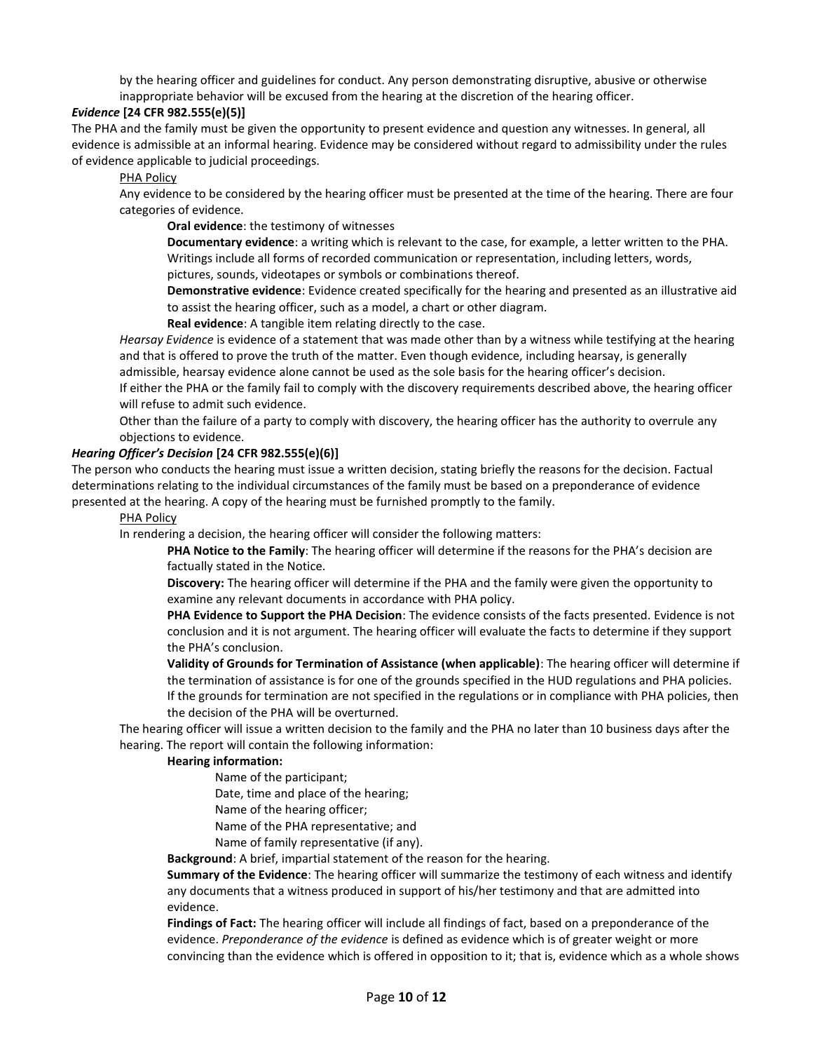by the hearing officer and guidelines for conduct. Any person demonstrating disruptive, abusive or otherwise inappropriate behavior will be excused from the hearing at the discretion of the hearing officer.

## *Evidence* **[24 CFR 982.555(e)(5)]**

The PHA and the family must be given the opportunity to present evidence and question any witnesses. In general, all evidence is admissible at an informal hearing. Evidence may be considered without regard to admissibility under the rules of evidence applicable to judicial proceedings.

#### PHA Policy

Any evidence to be considered by the hearing officer must be presented at the time of the hearing. There are four categories of evidence.

**Oral evidence**: the testimony of witnesses

**Documentary evidence**: a writing which is relevant to the case, for example, a letter written to the PHA. Writings include all forms of recorded communication or representation, including letters, words, pictures, sounds, videotapes or symbols or combinations thereof.

**Demonstrative evidence**: Evidence created specifically for the hearing and presented as an illustrative aid to assist the hearing officer, such as a model, a chart or other diagram.

**Real evidence**: A tangible item relating directly to the case.

*Hearsay Evidence* is evidence of a statement that was made other than by a witness while testifying at the hearing and that is offered to prove the truth of the matter. Even though evidence, including hearsay, is generally

admissible, hearsay evidence alone cannot be used as the sole basis for the hearing officer's decision. If either the PHA or the family fail to comply with the discovery requirements described above, the hearing officer

#### will refuse to admit such evidence.

Other than the failure of a party to comply with discovery, the hearing officer has the authority to overrule any objections to evidence.

#### *Hearing Officer's Decision* **[24 CFR 982.555(e)(6)]**

The person who conducts the hearing must issue a written decision, stating briefly the reasons for the decision. Factual determinations relating to the individual circumstances of the family must be based on a preponderance of evidence presented at the hearing. A copy of the hearing must be furnished promptly to the family.

#### PHA Policy

In rendering a decision, the hearing officer will consider the following matters:

**PHA Notice to the Family**: The hearing officer will determine if the reasons for the PHA's decision are factually stated in the Notice.

**Discovery:** The hearing officer will determine if the PHA and the family were given the opportunity to examine any relevant documents in accordance with PHA policy.

**PHA Evidence to Support the PHA Decision**: The evidence consists of the facts presented. Evidence is not conclusion and it is not argument. The hearing officer will evaluate the facts to determine if they support the PHA's conclusion.

**Validity of Grounds for Termination of Assistance (when applicable)**: The hearing officer will determine if the termination of assistance is for one of the grounds specified in the HUD regulations and PHA policies. If the grounds for termination are not specified in the regulations or in compliance with PHA policies, then the decision of the PHA will be overturned.

The hearing officer will issue a written decision to the family and the PHA no later than 10 business days after the hearing. The report will contain the following information:

#### **Hearing information:**

Name of the participant;

Date, time and place of the hearing;

Name of the hearing officer;

Name of the PHA representative; and

Name of family representative (if any).

**Background**: A brief, impartial statement of the reason for the hearing.

**Summary of the Evidence**: The hearing officer will summarize the testimony of each witness and identify any documents that a witness produced in support of his/her testimony and that are admitted into evidence.

**Findings of Fact:** The hearing officer will include all findings of fact, based on a preponderance of the evidence. *Preponderance of the evidence* is defined as evidence which is of greater weight or more convincing than the evidence which is offered in opposition to it; that is, evidence which as a whole shows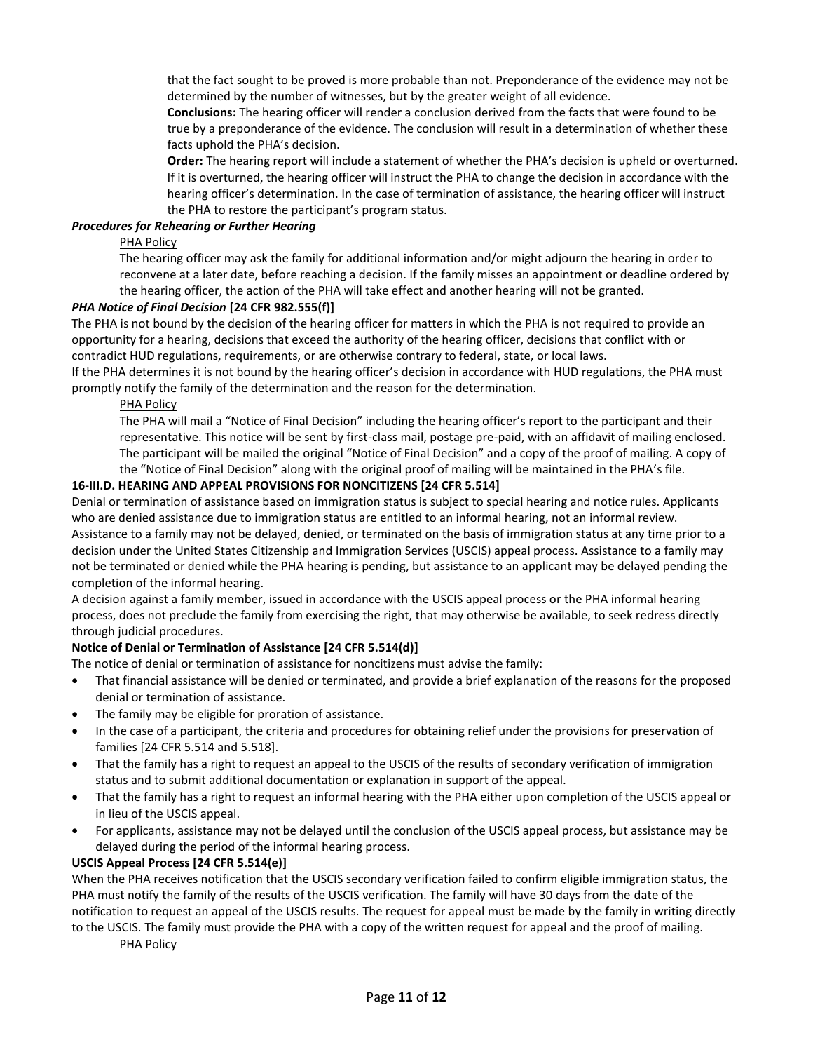that the fact sought to be proved is more probable than not. Preponderance of the evidence may not be determined by the number of witnesses, but by the greater weight of all evidence.

**Conclusions:** The hearing officer will render a conclusion derived from the facts that were found to be true by a preponderance of the evidence. The conclusion will result in a determination of whether these facts uphold the PHA's decision.

**Order:** The hearing report will include a statement of whether the PHA's decision is upheld or overturned. If it is overturned, the hearing officer will instruct the PHA to change the decision in accordance with the hearing officer's determination. In the case of termination of assistance, the hearing officer will instruct the PHA to restore the participant's program status.

#### *Procedures for Rehearing or Further Hearing*

#### PHA Policy

The hearing officer may ask the family for additional information and/or might adjourn the hearing in order to reconvene at a later date, before reaching a decision. If the family misses an appointment or deadline ordered by the hearing officer, the action of the PHA will take effect and another hearing will not be granted.

#### *PHA Notice of Final Decision* **[24 CFR 982.555(f)]**

The PHA is not bound by the decision of the hearing officer for matters in which the PHA is not required to provide an opportunity for a hearing, decisions that exceed the authority of the hearing officer, decisions that conflict with or contradict HUD regulations, requirements, or are otherwise contrary to federal, state, or local laws.

If the PHA determines it is not bound by the hearing officer's decision in accordance with HUD regulations, the PHA must promptly notify the family of the determination and the reason for the determination.

PHA Policy

The PHA will mail a "Notice of Final Decision" including the hearing officer's report to the participant and their representative. This notice will be sent by first-class mail, postage pre-paid, with an affidavit of mailing enclosed. The participant will be mailed the original "Notice of Final Decision" and a copy of the proof of mailing. A copy of the "Notice of Final Decision" along with the original proof of mailing will be maintained in the PHA's file.

#### **16-III.D. HEARING AND APPEAL PROVISIONS FOR NONCITIZENS [24 CFR 5.514]**

Denial or termination of assistance based on immigration status is subject to special hearing and notice rules. Applicants who are denied assistance due to immigration status are entitled to an informal hearing, not an informal review.

Assistance to a family may not be delayed, denied, or terminated on the basis of immigration status at any time prior to a decision under the United States Citizenship and Immigration Services (USCIS) appeal process. Assistance to a family may not be terminated or denied while the PHA hearing is pending, but assistance to an applicant may be delayed pending the completion of the informal hearing.

A decision against a family member, issued in accordance with the USCIS appeal process or the PHA informal hearing process, does not preclude the family from exercising the right, that may otherwise be available, to seek redress directly through judicial procedures.

# **Notice of Denial or Termination of Assistance [24 CFR 5.514(d)]**

The notice of denial or termination of assistance for noncitizens must advise the family:

- That financial assistance will be denied or terminated, and provide a brief explanation of the reasons for the proposed denial or termination of assistance.
- The family may be eligible for proration of assistance.
- In the case of a participant, the criteria and procedures for obtaining relief under the provisions for preservation of families [24 CFR 5.514 and 5.518].
- That the family has a right to request an appeal to the USCIS of the results of secondary verification of immigration status and to submit additional documentation or explanation in support of the appeal.
- That the family has a right to request an informal hearing with the PHA either upon completion of the USCIS appeal or in lieu of the USCIS appeal.
- For applicants, assistance may not be delayed until the conclusion of the USCIS appeal process, but assistance may be delayed during the period of the informal hearing process.

#### **USCIS Appeal Process [24 CFR 5.514(e)]**

When the PHA receives notification that the USCIS secondary verification failed to confirm eligible immigration status, the PHA must notify the family of the results of the USCIS verification. The family will have 30 days from the date of the notification to request an appeal of the USCIS results. The request for appeal must be made by the family in writing directly to the USCIS. The family must provide the PHA with a copy of the written request for appeal and the proof of mailing.

#### PHA Policy